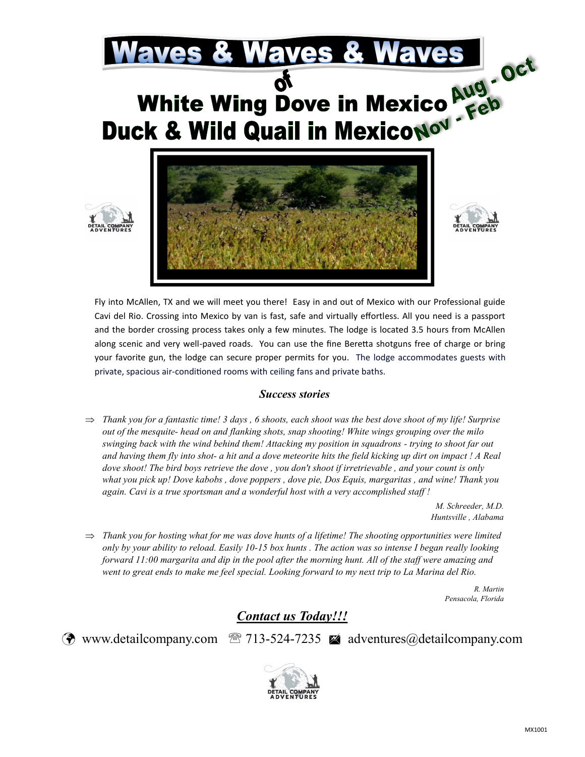

Fly into McAllen, TX and we will meet you there! Easy in and out of Mexico with our Professional guide Cavi del Rio. Crossing into Mexico by van is fast, safe and virtually effortless. All you need is a passport and the border crossing process takes only a few minutes. The lodge is located 3.5 hours from McAllen along scenic and very well-paved roads. You can use the fine Beretta shotguns free of charge or bring your favorite gun, the lodge can secure proper permits for you. The lodge accommodates guests with private, spacious air-conditioned rooms with ceiling fans and private baths.

## *Success stories*

 $\Rightarrow$  Thank you for a fantastic time! 3 days, 6 shoots, each shoot was the best dove shoot of my life! Surprise *out of the mesquite- head on and flanking shots, snap shooting! White wings grouping over the milo swinging back with the wind behind them! Attacking my position in squadrons - trying to shoot far out and having them fly into shot- a hit and a dove meteorite hits the field kicking up dirt on impact ! A Real dove shoot! The bird boys retrieve the dove , you don't shoot if irretrievable , and your count is only what you pick up! Dove kabobs , dove poppers , dove pie, Dos Equis, margaritas , and wine! Thank you again. Cavi is a true sportsman and a wonderful host with a very accomplished staff !* 

> *M. Schreeder, M.D. Huntsville , Alabama*

 $\Rightarrow$  Thank you for hosting what for me was dove hunts of a lifetime! The shooting opportunities were limited *only by your ability to reload. Easily 10-15 box hunts . The action was so intense I began really looking forward 11:00 margarita and dip in the pool after the morning hunt. All of the staff were amazing and went to great ends to make me feel special. Looking forward to my next trip to La Marina del Rio.* 

> *R. Martin Pensacola, Florida*

## *Contact us Today!!!*

 $\circled{?}$  www.detailcompany.com  $\circled{?}$  713-524-7235  $\bullet$  adventures@detailcompany.com